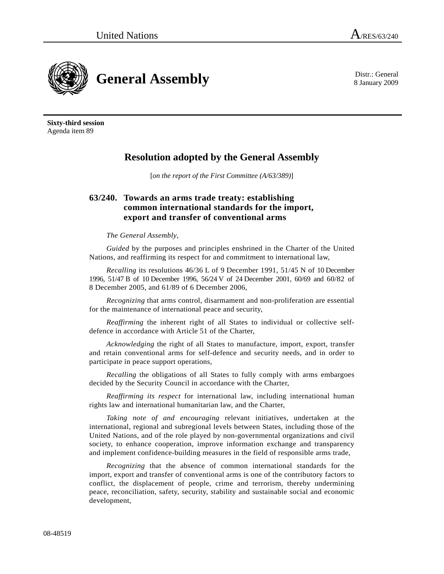8 January 2009



**Sixty-third session**  Agenda item 89

## **Resolution adopted by the General Assembly**

[*on the report of the First Committee (A/63/389)*]

## **63/240. Towards an arms trade treaty: establishing common international standards for the import, export and transfer of conventional arms**

## *The General Assembly*,

*Guided* by the purposes and principles enshrined in the Charter of the United Nations, and reaffirming its respect for and commitment to international law,

*Recalling* its resolutions 46/36 L of 9 December 1991, 51/45 N of 10 December 1996, 51/47 B of 10 December 1996, 56/24 V of 24 December 2001, 60/69 and 60/82 of 8 December 2005, and 61/89 of 6 December 2006,

*Recognizing* that arms control, disarmament and non-proliferation are essential for the maintenance of international peace and security,

*Reaffirming* the inherent right of all States to individual or collective selfdefence in accordance with Article 51 of the Charter,

*Acknowledging* the right of all States to manufacture, import, export, transfer and retain conventional arms for self-defence and security needs, and in order to participate in peace support operations,

*Recalling* the obligations of all States to fully comply with arms embargoes decided by the Security Council in accordance with the Charter,

*Reaffirming its respect* for international law, including international human rights law and international humanitarian law, and the Charter,

*Taking note of and encouraging* relevant initiatives, undertaken at the international, regional and subregional levels between States, including those of the United Nations, and of the role played by non-governmental organizations and civil society, to enhance cooperation, improve information exchange and transparency and implement confidence-building measures in the field of responsible arms trade,

*Recognizing* that the absence of common international standards for the import, export and transfer of conventional arms is one of the contributory factors to conflict, the displacement of people, crime and terrorism, thereby undermining peace, reconciliation, safety, security, stability and sustainable social and economic development,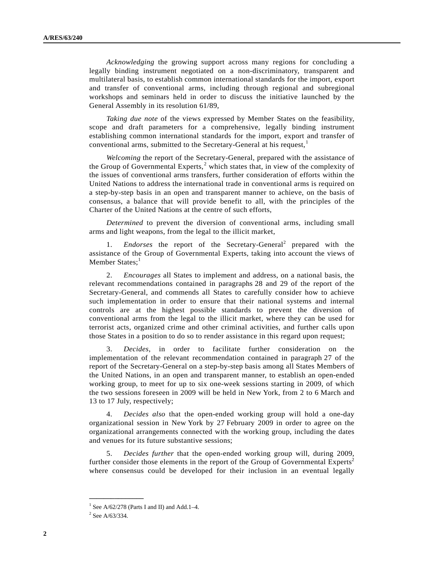*Acknowledging* the growing support across many regions for concluding a legally binding instrument negotiated on a non-discriminatory, transparent and multilateral basis, to establish common international standards for the import, export and transfer of conventional arms, including through regional and subregional workshops and seminars held in order to discuss the initiative launched by the General Assembly in its resolution 61/89,

*Taking due note* of the views expressed by Member States on the feasibility, scope and draft parameters for a comprehensive, legally binding instrument establishing common international standards for the import, export and transfer of conventional arms, submitted to the Secretary-General at his request, $<sup>1</sup>$  $<sup>1</sup>$  $<sup>1</sup>$ </sup>

*Welcoming* the report of the Secretary-General, prepared with the assistance of the Group of Governmental Experts,<sup>[2](#page-1-1)</sup> which states that, in view of the complexity of the issues of conventional arms transfers, further consideration of efforts within the United Nations to address the international trade in conventional arms is required on a step-by-step basis in an open and transparent manner to achieve, on the basis of consensus, a balance that will provide benefit to all, with the principles of the Charter of the United Nations at the centre of such efforts,

*Determined* to prevent the diversion of conventional arms, including small arms and light weapons, from the legal to the illicit market,

1. *Endorses* the report of the Secretary-General<sup>2</sup> prepared with the assistance of the Group of Governmental Experts, taking into account the views of Member States;<sup>1</sup>

 2. *Encourages* all States to implement and address, on a national basis, the relevant recommendations contained in paragraphs 28 and 29 of the report of the Secretary-General, and commends all States to carefully consider how to achieve such implementation in order to ensure that their national systems and internal controls are at the highest possible standards to prevent the diversion of conventional arms from the legal to the illicit market, where they can be used for terrorist acts, organized crime and other criminal activities, and further calls upon those States in a position to do so to render assistance in this regard upon request;

 3. *Decides*, in order to facilitate further consideration on the implementation of the relevant recommendation contained in paragraph 27 of the report of the Secretary-General on a step-by-step basis among all States Members of the United Nations, in an open and transparent manner, to establish an open-ended working group, to meet for up to six one-week sessions starting in 2009, of which the two sessions foreseen in 2009 will be held in New York, from 2 to 6 March and 13 to 17 July, respectively;

 4. *Decides also* that the open-ended working group will hold a one-day organizational session in New York by 27 February 2009 in order to agree on the organizational arrangements connected with the working group, including the dates and venues for its future substantive sessions;

 5. *Decides further* that the open-ended working group will, during 2009, further consider those elements in the report of the Group of Governmental Experts<sup>2</sup> where consensus could be developed for their inclusion in an eventual legally

**\_\_\_\_\_\_\_\_\_\_\_\_\_\_\_** 

<span id="page-1-1"></span><span id="page-1-0"></span><sup>&</sup>lt;sup>1</sup> See A/62/278 (Parts I and II) and Add.1-4.

 $2$  See A/63/334.